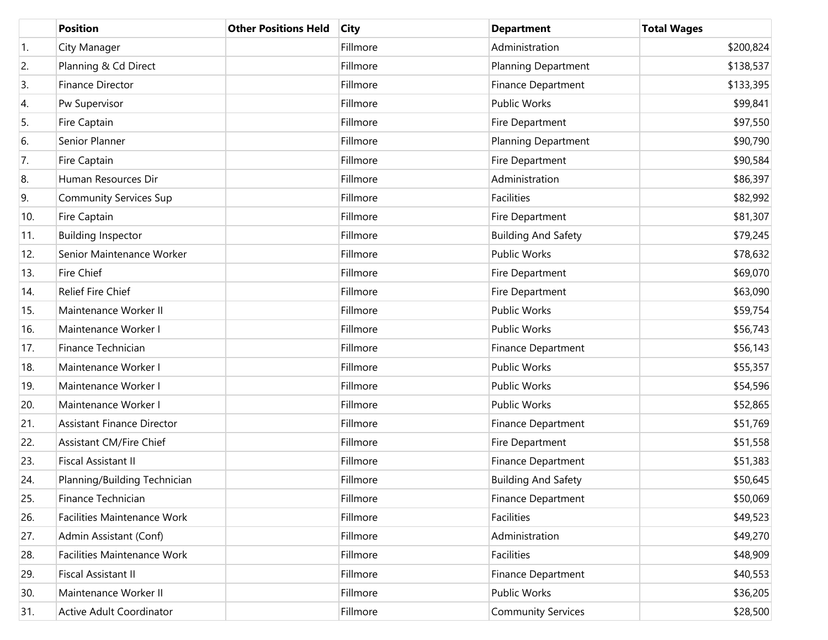|     | <b>Position</b>                   | <b>Other Positions Held</b> | <b>City</b> | <b>Department</b>          | <b>Total Wages</b> |
|-----|-----------------------------------|-----------------------------|-------------|----------------------------|--------------------|
| 1.  | City Manager                      |                             | Fillmore    | Administration             | \$200,824          |
| 2.  | Planning & Cd Direct              |                             | Fillmore    | <b>Planning Department</b> | \$138,537          |
| 3.  | Finance Director                  |                             | Fillmore    | <b>Finance Department</b>  | \$133,395          |
| 4.  | Pw Supervisor                     |                             | Fillmore    | <b>Public Works</b>        | \$99,841           |
| 5.  | Fire Captain                      |                             | Fillmore    | Fire Department            | \$97,550           |
| 6.  | Senior Planner                    |                             | Fillmore    | <b>Planning Department</b> | \$90,790           |
| 7.  | Fire Captain                      |                             | Fillmore    | Fire Department            | \$90,584           |
| 8.  | Human Resources Dir               |                             | Fillmore    | Administration             | \$86,397           |
| 9.  | <b>Community Services Sup</b>     |                             | Fillmore    | Facilities                 | \$82,992           |
| 10. | Fire Captain                      |                             | Fillmore    | Fire Department            | \$81,307           |
| 11. | <b>Building Inspector</b>         |                             | Fillmore    | <b>Building And Safety</b> | \$79,245           |
| 12. | Senior Maintenance Worker         |                             | Fillmore    | <b>Public Works</b>        | \$78,632           |
| 13. | Fire Chief                        |                             | Fillmore    | Fire Department            | \$69,070           |
| 14. | Relief Fire Chief                 |                             | Fillmore    | Fire Department            | \$63,090           |
| 15. | Maintenance Worker II             |                             | Fillmore    | <b>Public Works</b>        | \$59,754           |
| 16. | Maintenance Worker I              |                             | Fillmore    | <b>Public Works</b>        | \$56,743           |
| 17. | Finance Technician                |                             | Fillmore    | <b>Finance Department</b>  | \$56,143           |
| 18. | Maintenance Worker I              |                             | Fillmore    | <b>Public Works</b>        | \$55,357           |
| 19. | Maintenance Worker I              |                             | Fillmore    | Public Works               | \$54,596           |
| 20. | Maintenance Worker I              |                             | Fillmore    | Public Works               | \$52,865           |
| 21. | <b>Assistant Finance Director</b> |                             | Fillmore    | <b>Finance Department</b>  | \$51,769           |
| 22. | <b>Assistant CM/Fire Chief</b>    |                             | Fillmore    | Fire Department            | \$51,558           |
| 23. | <b>Fiscal Assistant II</b>        |                             | Fillmore    | Finance Department         | \$51,383           |
| 24. | Planning/Building Technician      |                             | Fillmore    | <b>Building And Safety</b> | \$50,645           |
| 25. | Finance Technician                |                             | Fillmore    | <b>Finance Department</b>  | \$50,069           |
| 26. | Facilities Maintenance Work       |                             | Fillmore    | Facilities                 | \$49,523           |
| 27. | Admin Assistant (Conf)            |                             | Fillmore    | Administration             | \$49,270           |
| 28. | Facilities Maintenance Work       |                             | Fillmore    | Facilities                 | \$48,909           |
| 29. | Fiscal Assistant II               |                             | Fillmore    | <b>Finance Department</b>  | \$40,553           |
| 30. | Maintenance Worker II             |                             | Fillmore    | Public Works               | \$36,205           |
| 31. | Active Adult Coordinator          |                             | Fillmore    | <b>Community Services</b>  | \$28,500           |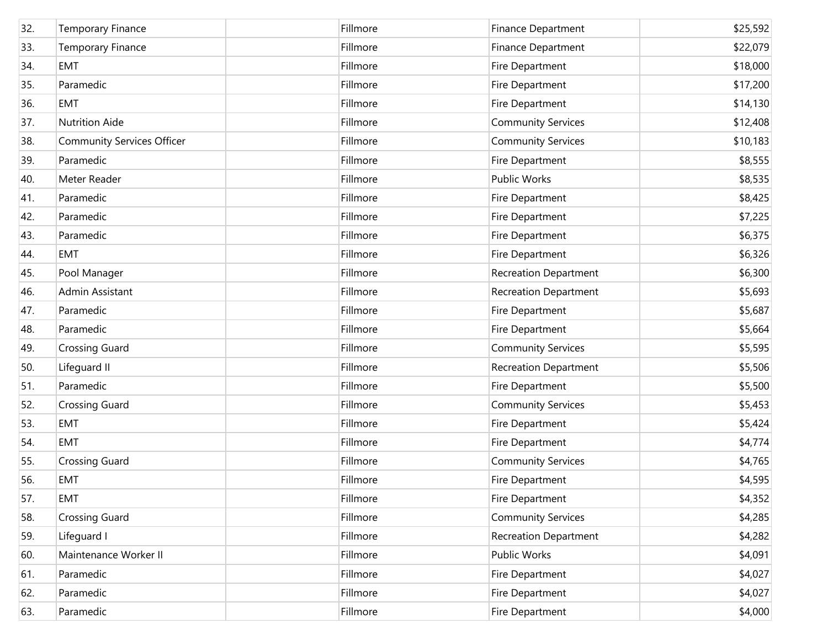| 32. | <b>Temporary Finance</b>          | Fillmore | Finance Department           | \$25,592 |
|-----|-----------------------------------|----------|------------------------------|----------|
| 33. | <b>Temporary Finance</b>          | Fillmore | Finance Department           | \$22,079 |
| 34. | <b>EMT</b>                        | Fillmore | Fire Department              | \$18,000 |
| 35. | Paramedic                         | Fillmore | Fire Department              | \$17,200 |
| 36. | <b>EMT</b>                        | Fillmore | Fire Department              | \$14,130 |
| 37. | Nutrition Aide                    | Fillmore | <b>Community Services</b>    | \$12,408 |
| 38. | <b>Community Services Officer</b> | Fillmore | <b>Community Services</b>    | \$10,183 |
| 39. | Paramedic                         | Fillmore | Fire Department              | \$8,555  |
| 40. | Meter Reader                      | Fillmore | Public Works                 | \$8,535  |
| 41. | Paramedic                         | Fillmore | Fire Department              | \$8,425  |
| 42. | Paramedic                         | Fillmore | Fire Department              | \$7,225  |
| 43. | Paramedic                         | Fillmore | Fire Department              | \$6,375  |
| 44. | <b>EMT</b>                        | Fillmore | Fire Department              | \$6,326  |
| 45. | Pool Manager                      | Fillmore | <b>Recreation Department</b> | \$6,300  |
| 46. | Admin Assistant                   | Fillmore | <b>Recreation Department</b> | \$5,693  |
| 47. | Paramedic                         | Fillmore | Fire Department              | \$5,687  |
| 48. | Paramedic                         | Fillmore | Fire Department              | \$5,664  |
| 49. | <b>Crossing Guard</b>             | Fillmore | <b>Community Services</b>    | \$5,595  |
| 50. | Lifeguard II                      | Fillmore | <b>Recreation Department</b> | \$5,506  |
| 51. | Paramedic                         | Fillmore | Fire Department              | \$5,500  |
| 52. | <b>Crossing Guard</b>             | Fillmore | <b>Community Services</b>    | \$5,453  |
| 53. | <b>EMT</b>                        | Fillmore | Fire Department              | \$5,424  |
| 54. | <b>EMT</b>                        | Fillmore | Fire Department              | \$4,774  |
| 55. | <b>Crossing Guard</b>             | Fillmore | <b>Community Services</b>    | \$4,765  |
| 56. | <b>EMT</b>                        | Fillmore | Fire Department              | \$4,595  |
| 57. | <b>EMT</b>                        | Fillmore | Fire Department              | \$4,352  |
| 58. | <b>Crossing Guard</b>             | Fillmore | <b>Community Services</b>    | \$4,285  |
| 59. | Lifeguard I                       | Fillmore | <b>Recreation Department</b> | \$4,282  |
| 60. | Maintenance Worker II             | Fillmore | <b>Public Works</b>          | \$4,091  |
| 61. | Paramedic                         | Fillmore | Fire Department              | \$4,027  |
| 62. | Paramedic                         | Fillmore | Fire Department              | \$4,027  |
| 63. | Paramedic                         | Fillmore | Fire Department              | \$4,000  |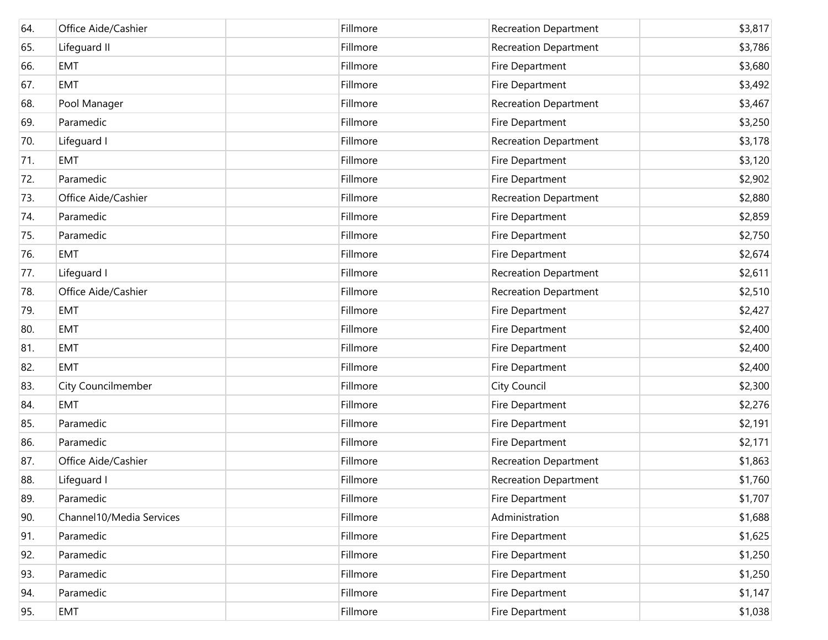| 64. | Office Aide/Cashier      | Fillmore | <b>Recreation Department</b> | \$3,817 |
|-----|--------------------------|----------|------------------------------|---------|
| 65. | Lifeguard II             | Fillmore | Recreation Department        | \$3,786 |
| 66. | <b>EMT</b>               | Fillmore | Fire Department              | \$3,680 |
| 67. | <b>EMT</b>               | Fillmore | Fire Department              | \$3,492 |
| 68. | Pool Manager             | Fillmore | <b>Recreation Department</b> | \$3,467 |
| 69. | Paramedic                | Fillmore | <b>Fire Department</b>       | \$3,250 |
| 70. | Lifeguard I              | Fillmore | Recreation Department        | \$3,178 |
| 71. | <b>EMT</b>               | Fillmore | <b>Fire Department</b>       | \$3,120 |
| 72. | Paramedic                | Fillmore | <b>Fire Department</b>       | \$2,902 |
| 73. | Office Aide/Cashier      | Fillmore | Recreation Department        | \$2,880 |
| 74. | Paramedic                | Fillmore | Fire Department              | \$2,859 |
| 75. | Paramedic                | Fillmore | Fire Department              | \$2,750 |
| 76. | <b>EMT</b>               | Fillmore | Fire Department              | \$2,674 |
| 77. | Lifeguard I              | Fillmore | <b>Recreation Department</b> | \$2,611 |
| 78. | Office Aide/Cashier      | Fillmore | <b>Recreation Department</b> | \$2,510 |
| 79. | <b>EMT</b>               | Fillmore | Fire Department              | \$2,427 |
| 80. | <b>EMT</b>               | Fillmore | Fire Department              | \$2,400 |
| 81. | <b>EMT</b>               | Fillmore | <b>Fire Department</b>       | \$2,400 |
| 82. | <b>EMT</b>               | Fillmore | Fire Department              | \$2,400 |
| 83. | City Councilmember       | Fillmore | <b>City Council</b>          | \$2,300 |
| 84. | <b>EMT</b>               | Fillmore | Fire Department              | \$2,276 |
| 85. | Paramedic                | Fillmore | Fire Department              | \$2,191 |
| 86. | Paramedic                | Fillmore | Fire Department              | \$2,171 |
| 87. | Office Aide/Cashier      | Fillmore | <b>Recreation Department</b> | \$1,863 |
| 88. | Lifeguard I              | Fillmore | <b>Recreation Department</b> | \$1,760 |
| 89. | Paramedic                | Fillmore | Fire Department              | \$1,707 |
| 90. | Channel10/Media Services | Fillmore | Administration               | \$1,688 |
| 91. | Paramedic                | Fillmore | Fire Department              | \$1,625 |
| 92. | Paramedic                | Fillmore | Fire Department              | \$1,250 |
| 93. | Paramedic                | Fillmore | Fire Department              | \$1,250 |
| 94. | Paramedic                | Fillmore | Fire Department              | \$1,147 |
| 95. | <b>EMT</b>               | Fillmore | Fire Department              | \$1,038 |